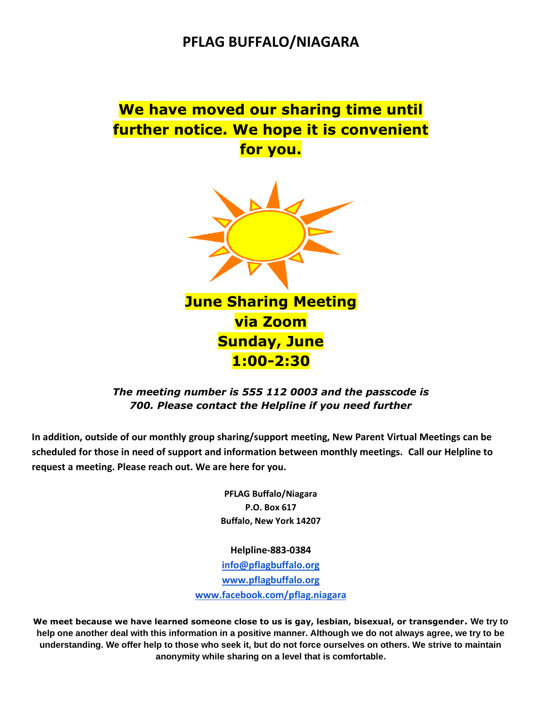## **PFLAG BUFFALO/NIAGARA**

# **We have moved our sharing time until further notice. We hope it is convenient for you.**



#### *The meeting number is 555 112 0003 and the passcode is 700. Please contact the Helpline if you need further*

In addition, outside of our monthly group sharing/support meeting, New Parent Virtual Meetings can be **scheduled for those in need of support and information between monthly meetings. Call our Helpline to request a meeting. Please reach out. We are here for you.**

> **PFLAG Buffalo/Niagara P.O. Box 617 Buffalo, New York 14207**

**Helpline-883-0384 [info@pflagbuffalo.org](mailto:info@pflagbuffalo.org) [www.pflagbuffalo.org](http://www.pflagbuffalo.org/) [www.facebook.com/pflag.niagara](http://www.facebook.com/pflag.niagara)**

**We meet because we have learned someone close to us is gay, lesbian, bisexual, or transgender. We try to help one another deal with this information in a positive manner. Although we do not always agree, we try to be understanding. We offer help to those who seek it, but do not force ourselves on others. We strive to maintain anonymity while sharing on a level that is comfortable.**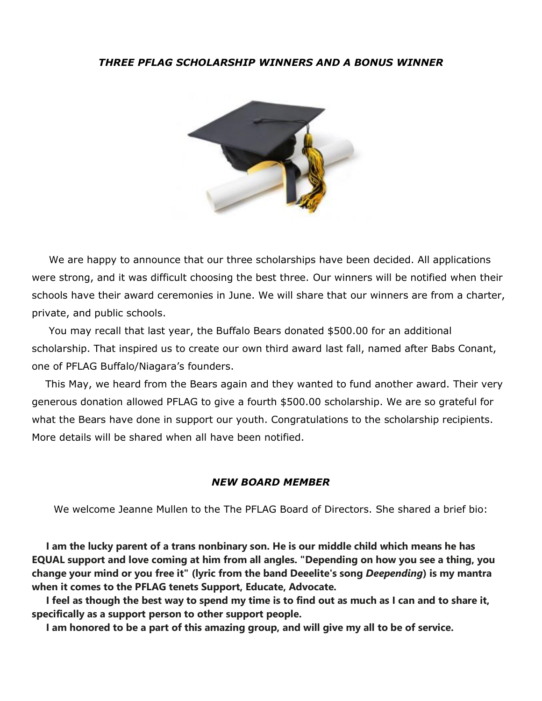#### *THREE PFLAG SCHOLARSHIP WINNERS AND A BONUS WINNER*



 We are happy to announce that our three scholarships have been decided. All applications were strong, and it was difficult choosing the best three. Our winners will be notified when their schools have their award ceremonies in June. We will share that our winners are from a charter, private, and public schools.

 You may recall that last year, the Buffalo Bears donated \$500.00 for an additional scholarship. That inspired us to create our own third award last fall, named after Babs Conant, one of PFLAG Buffalo/Niagara's founders.

 This May, we heard from the Bears again and they wanted to fund another award. Their very generous donation allowed PFLAG to give a fourth \$500.00 scholarship. We are so grateful for what the Bears have done in support our youth. Congratulations to the scholarship recipients. More details will be shared when all have been notified.

#### *NEW BOARD MEMBER*

We welcome Jeanne Mullen to the The PFLAG Board of Directors. She shared a brief bio:

 **I am the lucky parent of a trans nonbinary son. He is our middle child which means he has EQUAL support and love coming at him from all angles. "Depending on how you see a thing, you change your mind or you free it" (lyric from the band Deeelite's song** *Deepending***) is my mantra when it comes to the PFLAG tenets Support, Educate, Advocate.** 

 **I feel as though the best way to spend my time is to find out as much as I can and to share it, specifically as a support person to other support people.**

 **I am honored to be a part of this amazing group, and will give my all to be of service.**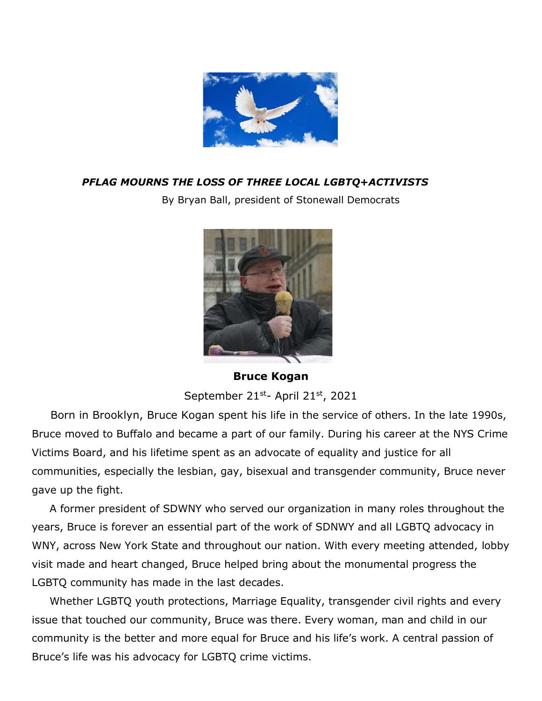

### *PFLAG MOURNS THE LOSS OF THREE LOCAL LGBTQ+ACTIVISTS*

By Bryan Ball, president of Stonewall Democrats



**Bruce Kogan**

September 21<sup>st</sup>- April 21<sup>st</sup>, 2021

 Born in Brooklyn, Bruce Kogan spent his life in the service of others. In the late 1990s, Bruce moved to Buffalo and became a part of our family. During his career at the NYS Crime Victims Board, and his lifetime spent as an advocate of equality and justice for all communities, especially the lesbian, gay, bisexual and transgender community, Bruce never gave up the fight.

 A former president of SDWNY who served our organization in many roles throughout the years, Bruce is forever an essential part of the work of SDNWY and all LGBTQ advocacy in WNY, across New York State and throughout our nation. With every meeting attended, lobby visit made and heart changed, Bruce helped bring about the monumental progress the LGBTQ community has made in the last decades.

 Whether LGBTQ youth protections, Marriage Equality, transgender civil rights and every issue that touched our community, Bruce was there. Every woman, man and child in our community is the better and more equal for Bruce and his life's work. A central passion of Bruce's life was his advocacy for LGBTQ crime victims.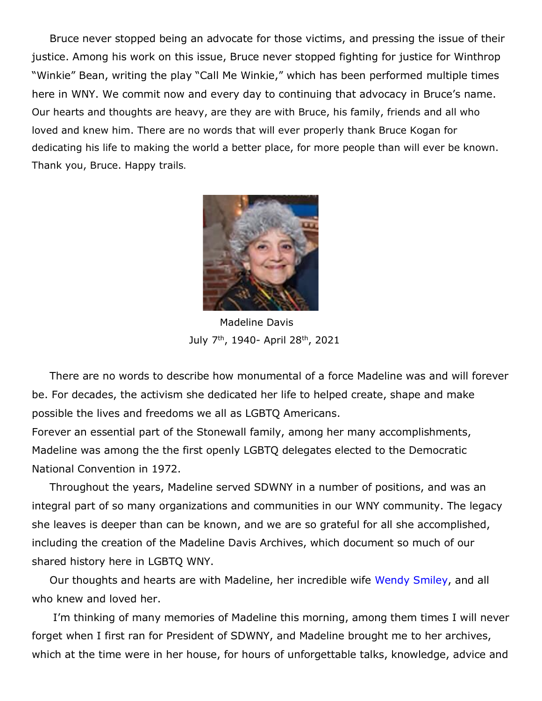Bruce never stopped being an advocate for those victims, and pressing the issue of their justice. Among his work on this issue, Bruce never stopped fighting for justice for Winthrop "Winkie" Bean, writing the play "Call Me Winkie," which has been performed multiple times here in WNY. We commit now and every day to continuing that advocacy in Bruce's name. Our hearts and thoughts are heavy, are they are with Bruce, his family, friends and all who loved and knew him. There are no words that will ever properly thank Bruce Kogan for dedicating his life to making the world a better place, for more people than will ever be known. Thank you, Bruce. Happy trails.



 Madeline Davis July 7th, 1940- April 28th, 2021

 There are no words to describe how monumental of a force Madeline was and will forever be. For decades, the activism she dedicated her life to helped create, shape and make possible the lives and freedoms we all as LGBTQ Americans.

Forever an essential part of the Stonewall family, among her many accomplishments, Madeline was among the the first openly LGBTQ delegates elected to the Democratic National Convention in 1972.

 Throughout the years, Madeline served SDWNY in a number of positions, and was an integral part of so many organizations and communities in our WNY community. The legacy she leaves is deeper than can be known, and we are so grateful for all she accomplished, including the creation of the Madeline Davis Archives, which document so much of our shared history here in LGBTQ WNY.

 Our thoughts and hearts are with Madeline, her incredible wife [Wendy](https://www.facebook.com/wendy.smiley.94?__cft__%5b0%5d=AZUN0RXi3MI1CffeWc8RKoM16UrX3uqU8LZx1BAIBNBPXcJ_mOU1bD5uIfWqzhAvddBq5w94HM0d2sv2RVpI4tBjaMKgQpE7zp2VRlnh-Lu7xGWydeOWO0rrwCbEDab3hvpRHvu6B6S4DfgcqW6TSE1O&__tn__=-%5dK-R) Smiley, and all who knew and loved her.

 I'm thinking of many memories of Madeline this morning, among them times I will never forget when I first ran for President of SDWNY, and Madeline brought me to her archives, which at the time were in her house, for hours of unforgettable talks, knowledge, advice and